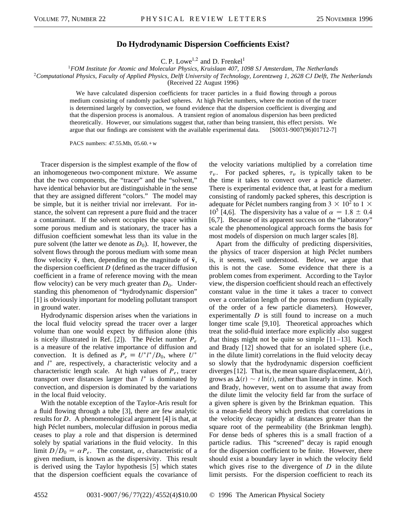## **Do Hydrodynamic Dispersion Coefficients Exist?**

C. P. Lowe<sup>1,2</sup> and D. Frenkel<sup>1</sup>

<sup>1</sup>*FOM Institute for Atomic and Molecular Physics, Kruislaan 407, 1098 SJ Amsterdam, The Netherlands*

<sup>2</sup>*Computational Physics, Faculty of Applied Physics, Delft University of Technology, Lorentzweg 1, 2628 CJ Delft, The Netherlands*

(Received 22 August 1996)

We have calculated dispersion coefficients for tracer particles in a fluid flowing through a porous medium consisting of randomly packed spheres. At high Péclet numbers, where the motion of the tracer is determined largely by convection, we found evidence that the dispersion coefficient is diverging and that the dispersion process is anomalous. A transient region of anomalous dispersion has been predicted theoretically. However, our simulations suggest that, rather than being transient, this effect persists. We argue that our findings are consistent with the available experimental data. [S0031-9007(96)01712-7]

PACS numbers: 47.55.Mh, 05.60.+w

Tracer dispersion is the simplest example of the flow of an inhomogeneous two-component mixture. We assume that the two components, the "tracer" and the "solvent," have identical behavior but are distinguishable in the sense that they are assigned different "colors." The model may be simple, but it is neither trivial nor irrelevant. For instance, the solvent can represent a pure fluid and the tracer a contaminant. If the solvent occupies the space within some porous medium and is stationary, the tracer has a diffusion coefficient somewhat less than its value in the pure solvent (the latter we denote as  $D_0$ ). If, however, the solvent flows through the porous medium with some mean flow velocity  $\bar{v}$ , then, depending on the magnitude of  $\bar{v}$ , the dispersion coefficient *D* (defined as the tracer diffusion coefficient in a frame of reference moving with the mean flow velocity) can be very much greater than  $D_0$ . Understanding this phenomenon of "hydrodynamic dispersion" [1] is obviously important for modeling pollutant transport in ground water.

Hydrodynamic dispersion arises when the variations in the local fluid velocity spread the tracer over a larger volume than one would expect by diffusion alone (this is nicely illustrated in Ref. [2]). The Péclet number *Pe* is a measure of the relative importance of diffusion and convection. It is defined as  $P_e \equiv U^* l^* / D_0$ , where  $U^*$ and  $l^*$  are, respectively, a characteristic velocity and a characteristic length scale. At high values of  $P_e$ , tracer transport over distances larger than  $l^*$  is dominated by convection, and dispersion is dominated by the variations in the local fluid velocity.

With the notable exception of the Taylor-Aris result for a fluid flowing through a tube [3], there are few analytic results for *D*. A phenomenological argument [4] is that, at high Péclet numbers, molecular diffusion in porous media ceases to play a role and that dispersion is determined solely by spatial variations in the fluid velocity. In this limit  $D/D_0 = \alpha P_e$ . The constant,  $\alpha$ , characteristic of a given medium, is known as the dispersivity. This result is derived using the Taylor hypothesis [5] which states that the dispersion coefficient equals the covariance of the velocity variations multiplied by a correlation time  $\tau_v$ . For packed spheres,  $\tau_v$  is typically taken to be the time it takes to convect over a particle diameter. There is experimental evidence that, at least for a medium consisting of randomly packed spheres, this description is adequate for Péclet numbers ranging from 3  $\times$  10<sup>2</sup> to 1  $\times$  $10^5$  [4,6]. The dispersivity has a value of  $\alpha = 1.8 \pm 0.4$ [6,7]. Because of its apparent success on the "laboratory" scale the phenomenological approach forms the basis for most models of dispersion on much larger scales [8].

Apart from the difficulty of predicting dispersivities, the physics of tracer dispersion at high Péclet numbers is, it seems, well understood. Below, we argue that this is not the case. Some evidence that there is a problem comes from experiment. According to the Taylor view, the dispersion coefficient should reach an effectively constant value in the time it takes a tracer to convect over a correlation length of the porous medium (typically of the order of a few particle diameters). However, experimentally *D* is still found to increase on a much longer time scale [9,10]. Theoretical approaches which treat the solid-fluid interface more explicitly also suggest that things might not be quite so simple  $[11-13]$ . Koch and Brady [12] showed that for an isolated sphere (i.e., in the dilute limit) correlations in the fluid velocity decay so slowly that the hydrodynamic dispersion coefficient diverges [12]. That is, the mean square displacement,  $\Delta(t)$ , grows as  $\Delta(t) \sim t \ln(t)$ , rather than linearly in time. Koch and Brady, however, went on to assume that away from the dilute limit the velocity field far from the surface of a given sphere is given by the Brinkman equation. This is a mean-field theory which predicts that correlations in the velocity decay rapidly at distances greater than the square root of the permeability (the Brinkman length). For dense beds of spheres this is a small fraction of a particle radius. This "screened" decay is rapid enough for the dispersion coefficient to be finite. However, there should exist a boundary layer in which the velocity field which gives rise to the divergence of *D* in the dilute limit persists. For the dispersion coefficient to reach its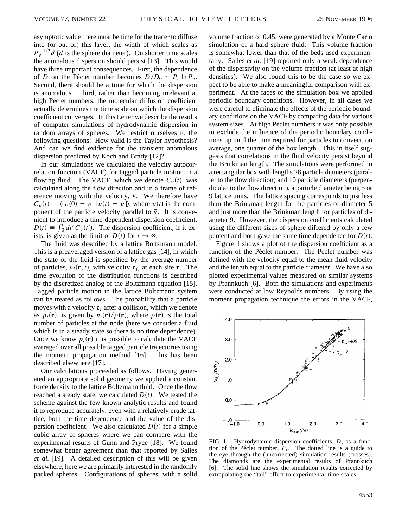asymptotic value there must be time for the tracer to diffuse into (or out of) this layer, the width of which scales as  $P_e^{-1/3}$ *d* (*d* is the sphere diameter). On shorter time scales the anomalous dispersion should persist [13]. This would have three important consequences. First, the dependence of *D* on the Péclet number becomes  $D/D_0 \sim P_e \ln P_e$ . Second, there should be a time for which the dispersion is anomalous. Third, rather than becoming irrelevant at high Péclet numbers, the molecular diffusion coefficient actually determines the time scale on which the dispersion coefficient converges. In this Letter we describe the results of computer simulations of hydrodynamic dispersion in random arrays of spheres. We restrict ourselves to the following questions: How valid is the Taylor hypothesis? And can we find evidence for the transient anomalous dispersion predicted by Koch and Brady [12]?

In our simulations we calculated the velocity autocorrelation function (VACF) for tagged particle motion in a flowing fluid. The VACF, which we denote  $C<sub>v</sub>(t)$ , was calculated along the flow direction and in a frame of reference moving with the velocity,  $\bar{v}$ . We therefore have  $C_v(t) = \langle [v(0) - \bar{v}] [v(t) - \bar{v}] \rangle$ , where  $v(t)$  is the component of the particle velocity parallel to  $\bar{v}$ . It is convenient to introduce a time-dependent dispersion coefficient,  $D(t) \equiv \int_0^t dt' C_v(t')$ . The dispersion coefficient, if it exists, is given as the limit of  $D(t)$  for  $t \to \infty$ .

The fluid was described by a lattice Boltzmann model. This is a preaveraged version of a lattice gas [14], in which the state of the fluid is specified by the average number of particles,  $n_i(\mathbf{r}, t)$ , with velocity  $\mathbf{c}_i$ , at each site **r**. The time evolution of the distribution functions is described by the discretized analog of the Boltzmann equation [15]. Tagged particle motion in the lattice Boltzmann system can be treated as follows. The probability that a particle moves with a velocity  $c_i$  after a collision, which we denote as  $p_i(\mathbf{r})$ , is given by  $n_i(\mathbf{r})/\rho(\mathbf{r})$ , where  $\rho(\mathbf{r})$  is the total number of particles at the node (here we consider a fluid which is in a steady state so there is no time dependence). Once we know  $p_i(\mathbf{r})$  it is possible to calculate the VACF averaged over all possible tagged particle trajectories using the moment propagation method [16]. This has been described elsewhere [17].

Our calculations proceeded as follows. Having generated an appropriate solid geometry we applied a constant force density to the lattice Boltzmann fluid. Once the flow reached a steady state, we calculated  $D(t)$ . We tested the scheme against the few known analytic results and found it to reproduce accurately, even with a relatively crude lattice, both the time dependence and the value of the dispersion coefficient. We also calculated  $D(t)$  for a simple cubic array of spheres where we can compare with the experimental results of Gunn and Pryce [18]. We found somewhat better agreement than that reported by Salles *et al.* [19]. A detailed description of this will be given elsewhere; here we are primarily interested in the randomly packed spheres. Configurations of spheres, with a solid

volume fraction of 0.45, were generated by a Monte Carlo simulation of a hard sphere fluid. This volume fraction is somewhat lower than that of the beds used experimentally. Salles *et al.* [19] reported only a weak dependence of the dispersivity on the volume fraction (at least at high densities). We also found this to be the case so we expect to be able to make a meaningful comparison with experiment. At the faces of the simulation box we applied periodic boundary conditions. However, in all cases we were careful to eliminate the effects of the periodic boundary conditions on the VACF by comparing data for various system sizes. At high Péclet numbers it was only possible to exclude the influence of the periodic boundary conditions up until the time required for particles to convect, on average, one quarter of the box length. This in itself suggests that correlations in the fluid velocity persist beyond the Brinkman length. The simulations were performed in a rectangular box with lengths 28 particle diameters (parallel to the flow direction) and 10 particle diameters (perpendicular to the flow direction), a particle diameter being 5 or 9 lattice units. The lattice spacing corresponds to just less than the Brinkman length for the particles of diameter 5 and just more than the Brinkman length for particles of diameter 9. However, the dispersion coefficients calculated using the different sizes of sphere differed by only a few percent and both gave the same time dependence for  $D(t)$ .

Figure 1 shows a plot of the dispersion coefficient as a function of the Péclet number. The Péclet number was defined with the velocity equal to the mean fluid velocity and the length equal to the particle diameter. We have also plotted experimental values measured on similar systems by Pfannkuch [6]. Both the simulations and experiments were conducted at low Reynolds numbers. By using the moment propagation technique the errors in the VACF,



FIG. 1. Hydrodynamic dispersion coefficients, *D*, as a function of the Péclet number,  $\overline{P}_e$ . The dotted line is a guide to the eye through the (uncorrected) simulation results (crosses). The diamonds are the experimental results of Pfannkuch [6]. The solid line shows the simulation results corrected by extrapolating the "tail" effect to experimental time scales.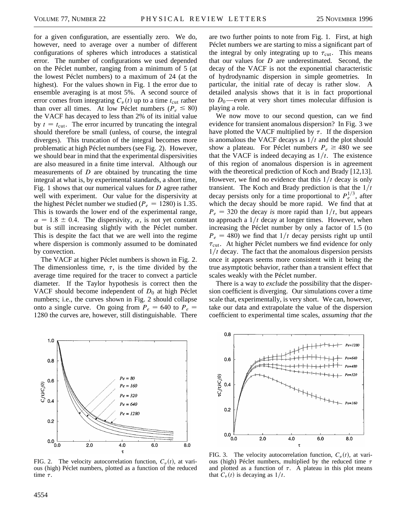for a given configuration, are essentially zero. We do, however, need to average over a number of different configurations of spheres which introduces a statistical error. The number of configurations we used depended on the Péclet number, ranging from a minimum of 5 (at the lowest Péclet numbers) to a maximum of 24 (at the highest). For the values shown in Fig. 1 the error due to ensemble averaging is at most 5%. A second source of error comes from integrating  $C_v(t)$  up to a time  $t_{\text{cut}}$  rather than over all times. At low Péclet numbers ( $P_e \le 80$ ) the VACF has decayed to less than 2% of its initial value by  $t = t_{\text{cut}}$ . The error incurred by truncating the integral should therefore be small (unless, of course, the integral diverges). This truncation of the integral becomes more problematic at high Péclet numbers (see Fig. 2). However, we should bear in mind that the experimental dispersivities are also measured in a finite time interval. Although our measurements of *D* are obtained by truncating the time integral at what is, by experimental standards, a short time, Fig. 1 shows that our numerical values for *D* agree rather well with experiment. Our value for the dispersivity at the highest Péclet number we studied ( $P_e = 1280$ ) is 1.35. This is towards the lower end of the experimental range,  $\alpha = 1.8 \pm 0.4$ . The dispersivity,  $\alpha$ , is not yet constant but is still increasing slightly with the Péclet number. This is despite the fact that we are well into the regime where dispersion is commonly assumed to be dominated by convection.

The VACF at higher Péclet numbers is shown in Fig. 2. The dimensionless time,  $\tau$ , is the time divided by the average time required for the tracer to convect a particle diameter. If the Taylor hypothesis is correct then the VACF should become independent of  $D_0$  at high Péclet numbers; i.e., the curves shown in Fig. 2 should collapse onto a single curve. On going from  $P_e = 640$  to  $P_e =$ 1280 the curves are, however, still distinguishable. There



FIG. 2. The velocity autocorrelation function,  $C_v(t)$ , at various (high) Péclet numbers, plotted as a function of the reduced time  $\tau$ .

are two further points to note from Fig. 1. First, at high Péclet numbers we are starting to miss a significant part of the integral by only integrating up to  $\tau_{\text{cut}}$ . This means that our values for *D* are underestimated. Second, the decay of the VACF is not the exponential characteristic of hydrodynamic dispersion in simple geometries. In particular, the initial rate of decay is rather slow. A detailed analysis shows that it is in fact proportional to  $D_0$ —even at very short times molecular diffusion is playing a role.

We now move to our second question, can we find evidence for transient anomalous dispersion? In Fig. 3 we have plotted the VACF multiplied by  $\tau$ . If the dispersion is anomalous the VACF decays as  $1/t$  and the plot should show a plateau. For Péclet numbers  $P_e \ge 480$  we see that the VACF is indeed decaying as  $1/t$ . The existence of this region of anomalous dispersion is in agreement with the theoretical prediction of Koch and Brady [12,13]. However, we find no evidence that this  $1/t$  decay is only transient. The Koch and Brady prediction is that the  $1/t$ decay persists only for a time proportional to  $P_e^{1/3}$ , after which the decay should be more rapid. We find that at  $P_e = 320$  the decay *is* more rapid than  $1/t$ , but appears to approach a  $1/t$  decay at longer times. However, when increasing the Péclet number by only a factor of 1.5 (to  $P_e = 480$ ) we find that  $1/t$  decay persists right up until  $\tau_{\text{cut}}$ . At higher Péclet numbers we find evidence for only  $1/t$  decay. The fact that the anomalous dispersion persists once it appears seems more consistent with it being the true asymptotic behavior, rather than a transient effect that scales weakly with the Péclet number.

There is a way to *exclude* the possibility that the dispersion coefficient is diverging. Our simulations cover a time scale that, experimentally, is very short. We can, however, take our data and extrapolate the value of the dispersion coefficient to experimental time scales, *assuming that the*



FIG. 3. The velocity autocorrelation function,  $C_v(t)$ , at various (high) Péclet numbers, multiplied by the reduced time  $\tau$ and plotted as a function of  $\tau$ . A plateau in this plot means that  $C_v(t)$  is decaying as  $1/t$ .